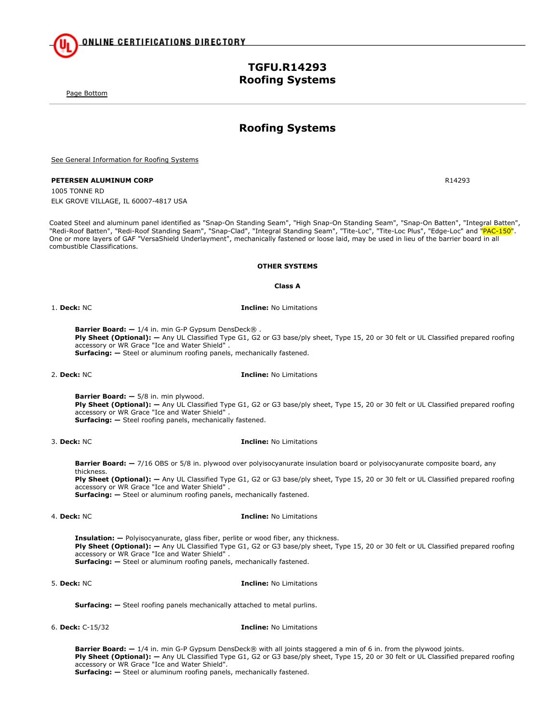**Roofing Systems**

**TGFU.R14293 Roofing Systems**

See General Information for Roofing Systems

### **PETERSEN ALUMINUM CORP** R14293

Page Bottom

1005 TONNE RD ELK GROVE VILLAGE, IL 60007-4817 USA

Coated Steel and aluminum panel identified as "Snap-On Standing Seam", "High Snap-On Standing Seam", "Snap-On Batten", "Integral Batten", "Redi-Roof Batten", "Redi-Roof Standing Seam", "Snap-Clad", "Integral Standing Seam", "Tite-Loc", "Tite-Loc Plus", "Edge-Loc" and "PAC-150". One or more layers of GAF "VersaShield Underlayment", mechanically fastened or loose laid, may be used in lieu of the barrier board in all combustible Classifications.

### **OTHER SYSTEMS**

**Class A**

1. **Deck:** NC **Incline:** No Limitations

**Barrier Board: —** 1/4 in. min G-P Gypsum DensDeck® . Ply Sheet (Optional):  $-$  Any UL Classified Type G1, G2 or G3 base/ply sheet, Type 15, 20 or 30 felt or UL Classified prepared roofing accessory or WR Grace "Ice and Water Shield" . **Surfacing:** - Steel or aluminum roofing panels, mechanically fastened.

2. **Deck:** NC **Incline:** No Limitations

**Barrier Board: —** 5/8 in. min plywood.

Ply Sheet (Optional):  $-$  Any UL Classified Type G1, G2 or G3 base/ply sheet, Type 15, 20 or 30 felt or UL Classified prepared roofing accessory or WR Grace "Ice and Water Shield" . **Surfacing:** - Steel roofing panels, mechanically fastened.

# 3. **Deck:** NC **Incline:** No Limitations

**Barrier Board: —** 7/16 OBS or 5/8 in. plywood over polyisocyanurate insulation board or polyisocyanurate composite board, any thickness. Ply Sheet (Optional):  $-$  Any UL Classified Type G1, G2 or G3 base/ply sheet, Type 15, 20 or 30 felt or UL Classified prepared roofing accessory or WR Grace "Ice and Water Shield" .

**Surfacing:** - Steel or aluminum roofing panels, mechanically fastened.

## 4. **Deck:** NC **Incline:** No Limitations

**Insulation: —** Polyisocyanurate, glass fiber, perlite or wood fiber, any thickness. **Ply Sheet (Optional): —** Any UL Classified Type G1, G2 or G3 base/ply sheet, Type 15, 20 or 30 felt or UL Classified prepared roofing accessory or WR Grace "Ice and Water Shield" . **Surfacing:** - Steel or aluminum roofing panels, mechanically fastened.

5. **Deck:** NC **Incline:** No Limitations

**Surfacing:**  $-$  Steel roofing panels mechanically attached to metal purlins.

6. **Deck:** C-15/32 **Incline:** No Limitations

**Barrier Board: —** 1/4 in. min G-P Gypsum DensDeck® with all joints staggered a min of 6 in. from the plywood joints. **Ply Sheet (Optional): —** Any UL Classified Type G1, G2 or G3 base/ply sheet, Type 15, 20 or 30 felt or UL Classified prepared roofing accessory or WR Grace "Ice and Water Shield". **Surfacing:** - Steel or aluminum roofing panels, mechanically fastened.